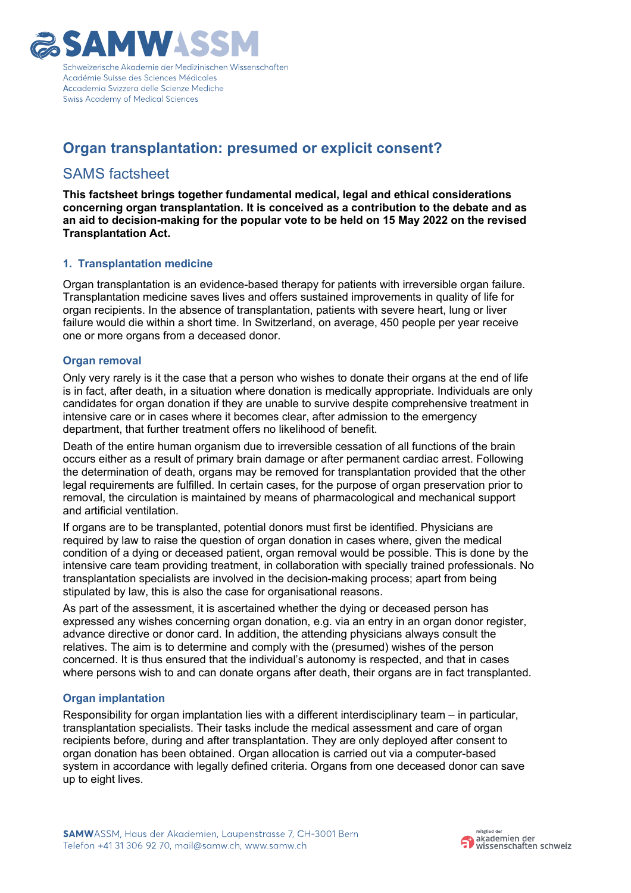

# **Organ transplantation: presumed or explicit consent?**

## SAMS factsheet

**This factsheet brings together fundamental medical, legal and ethical considerations concerning organ transplantation. It is conceived as a contribution to the debate and as an aid to decision-making for the popular vote to be held on 15 May 2022 on the revised Transplantation Act.**

## **1. Transplantation medicine**

Organ transplantation is an evidence-based therapy for patients with irreversible organ failure. Transplantation medicine saves lives and offers sustained improvements in quality of life for organ recipients. In the absence of transplantation, patients with severe heart, lung or liver failure would die within a short time. In Switzerland, on average, 450 people per year receive one or more organs from a deceased donor.

### **Organ removal**

Only very rarely is it the case that a person who wishes to donate their organs at the end of life is in fact, after death, in a situation where donation is medically appropriate. Individuals are only candidates for organ donation if they are unable to survive despite comprehensive treatment in intensive care or in cases where it becomes clear, after admission to the emergency department, that further treatment offers no likelihood of benefit.

Death of the entire human organism due to irreversible cessation of all functions of the brain occurs either as a result of primary brain damage or after permanent cardiac arrest. Following the determination of death, organs may be removed for transplantation provided that the other legal requirements are fulfilled. In certain cases, for the purpose of organ preservation prior to removal, the circulation is maintained by means of pharmacological and mechanical support and artificial ventilation.

If organs are to be transplanted, potential donors must first be identified. Physicians are required by law to raise the question of organ donation in cases where, given the medical condition of a dying or deceased patient, organ removal would be possible. This is done by the intensive care team providing treatment, in collaboration with specially trained professionals. No transplantation specialists are involved in the decision-making process; apart from being stipulated by law, this is also the case for organisational reasons.

As part of the assessment, it is ascertained whether the dying or deceased person has expressed any wishes concerning organ donation, e.g. via an entry in an organ donor register, advance directive or donor card. In addition, the attending physicians always consult the relatives. The aim is to determine and comply with the (presumed) wishes of the person concerned. It is thus ensured that the individual's autonomy is respected, and that in cases where persons wish to and can donate organs after death, their organs are in fact transplanted.

## **Organ implantation**

Responsibility for organ implantation lies with a different interdisciplinary team – in particular, transplantation specialists. Their tasks include the medical assessment and care of organ recipients before, during and after transplantation. They are only deployed after consent to organ donation has been obtained. Organ allocation is carried out via a computer-based system in accordance with legally defined criteria. Organs from one deceased donor can save up to eight lives.

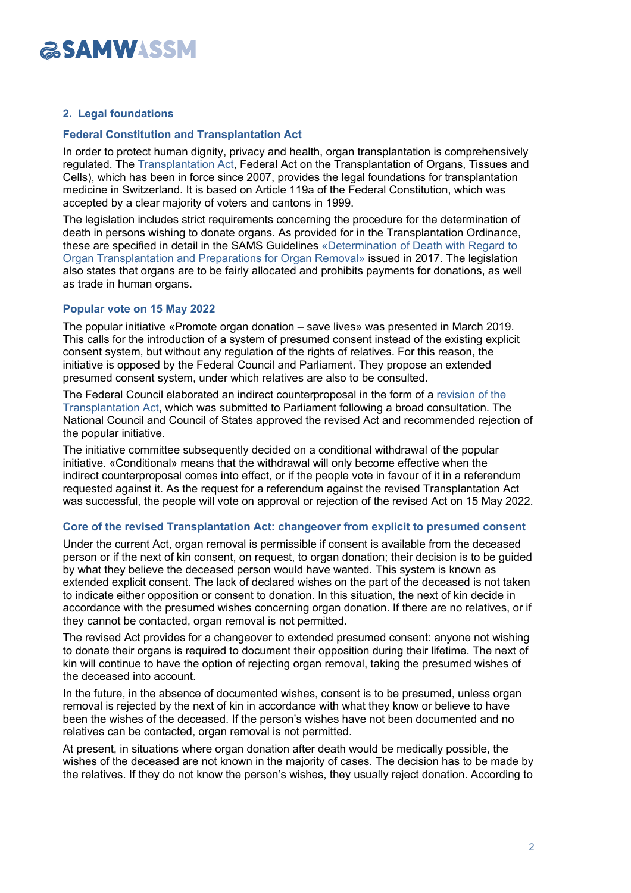### **2. Legal foundations**

### **Federal Constitution and Transplantation Act**

In order to protect human dignity, privacy and health, organ transplantation is comprehensively regulated. The [Transplantation](https://www.fedlex.admin.ch/eli/cc/2007/279/en) Act, Federal Act on the Transplantation of Organs, Tissues and Cells), which has been in force since 2007, provides the legal foundations for transplantation medicine in Switzerland. It is based on Article 119a of the Federal Constitution, which was accepted by a clear majority of voters and cantons in 1999.

The legislation includes strict requirements concerning the procedure for the determination of death in persons wishing to donate organs. As provided for in the Transplantation Ordinance, these are specified in detail in the SAMS Guidelines [«Determination of Death with Regard to](https://www.samw.ch/dam/jcr:12cfb438-d6cf-4acd-b93c-675f9efd2ff7/guidelines_sams_determination_death_organ_removal.pdf) Organ [Transplantation and Preparations for](https://www.samw.ch/dam/jcr:12cfb438-d6cf-4acd-b93c-675f9efd2ff7/guidelines_sams_determination_death_organ_removal.pdf) Organ Removal» issued in 2017. The legislation also states that organs are to be fairly allocated and prohibits payments for donations, as well as trade in human organs.

### **Popular vote on 15 May 2022**

The popular initiative «Promote organ donation – save lives» was presented in March 2019. This calls for the introduction of a system of presumed consent instead of the existing explicit consent system, but without any regulation of the rights of relatives. For this reason, the initiative is opposed by the Federal Council and Parliament. They propose an extended presumed consent system, under which relatives are also to be consulted.

The Federal Council elaborated an indirect counterproposal in the form of a [revision of the](https://www.fedlex.admin.ch/eli/fga/2021/2328/de) [Transplantation](https://www.fedlex.admin.ch/eli/fga/2021/2328/de) Act, which was submitted to Parliament following a broad consultation. The National Council and Council of States approved the revised Act and recommended rejection of the popular initiative.

The initiative committee subsequently decided on a conditional withdrawal of the popular initiative. «Conditional» means that the withdrawal will only become effective when the indirect counterproposal comes into effect, or if the people vote in favour of it in a referendum requested against it. As the request for a referendum against the revised Transplantation Act was successful, the people will vote on approval or rejection of the revised Act on 15 May 2022.

### **Core of the revised Transplantation Act: changeover from explicit to presumed consent**

Under the current Act, organ removal is permissible if consent is available from the deceased person or if the next of kin consent, on request, to organ donation; their decision is to be guided by what they believe the deceased person would have wanted. This system is known as extended explicit consent. The lack of declared wishes on the part of the deceased is not taken to indicate either opposition or consent to donation. In this situation, the next of kin decide in accordance with the presumed wishes concerning organ donation. If there are no relatives, or if they cannot be contacted, organ removal is not permitted.

The revised Act provides for a changeover to extended presumed consent: anyone not wishing to donate their organs is required to document their opposition during their lifetime. The next of kin will continue to have the option of rejecting organ removal, taking the presumed wishes of the deceased into account.

In the future, in the absence of documented wishes, consent is to be presumed, unless organ removal is rejected by the next of kin in accordance with what they know or believe to have been the wishes of the deceased. If the person's wishes have not been documented and no relatives can be contacted, organ removal is not permitted.

At present, in situations where organ donation after death would be medically possible, the wishes of the deceased are not known in the majority of cases. The decision has to be made by the relatives. If they do not know the person's wishes, they usually reject donation. According to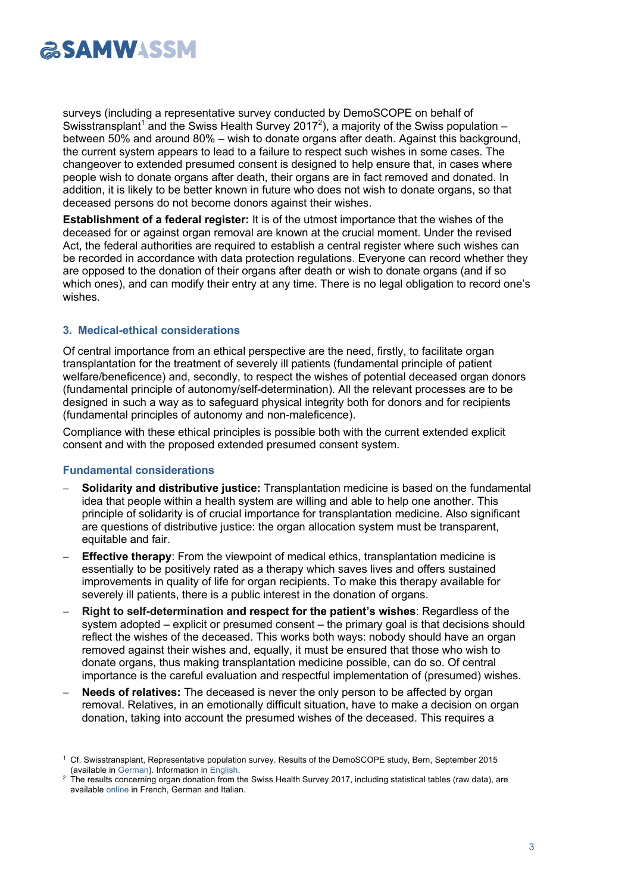surveys (including a representative survey conducted by DemoSCOPE on behalf of Swisstransplant<sup>1</sup> and the Swiss Health Survey 2017<sup>2</sup>), a majority of the Swiss population between 50% and around 80% – wish to donate organs after death. Against this background, the current system appears to lead to a failure to respect such wishes in some cases. The changeover to extended presumed consent is designed to help ensure that, in cases where people wish to donate organs after death, their organs are in fact removed and donated. In addition, it is likely to be better known in future who does not wish to donate organs, so that deceased persons do not become donors against their wishes.

**Establishment of a federal register:** It is of the utmost importance that the wishes of the deceased for or against organ removal are known at the crucial moment. Under the revised Act, the federal authorities are required to establish a central register where such wishes can be recorded in accordance with data protection regulations. Everyone can record whether they are opposed to the donation of their organs after death or wish to donate organs (and if so which ones), and can modify their entry at any time. There is no legal obligation to record one's wishes.

### **3. Medical-ethical considerations**

Of central importance from an ethical perspective are the need, firstly, to facilitate organ transplantation for the treatment of severely ill patients (fundamental principle of patient welfare/beneficence) and, secondly, to respect the wishes of potential deceased organ donors (fundamental principle of autonomy/self-determination). All the relevant processes are to be designed in such a way as to safeguard physical integrity both for donors and for recipients (fundamental principles of autonomy and non-maleficence).

Compliance with these ethical principles is possible both with the current extended explicit consent and with the proposed extended presumed consent system.

## **Fundamental considerations**

- **Solidarity and distributive justice:** Transplantation medicine is based on the fundamental idea that people within a health system are willing and able to help one another. This principle of solidarity is of crucial importance for transplantation medicine. Also significant are questions of distributive justice: the organ allocation system must be transparent, equitable and fair.
- **Effective therapy**: From the viewpoint of medical ethics, transplantation medicine is essentially to be positively rated as a therapy which saves lives and offers sustained improvements in quality of life for organ recipients. To make this therapy available for severely ill patients, there is a public interest in the donation of organs.
- **Right to self-determination and respect for the patient's wishes**: Regardless of the system adopted – explicit or presumed consent – the primary goal is that decisions should reflect the wishes of the deceased. This works both ways: nobody should have an organ removed against their wishes and, equally, it must be ensured that those who wish to donate organs, thus making transplantation medicine possible, can do so. Of central importance is the careful evaluation and respectful implementation of (presumed) wishes.
- Needs of relatives: The deceased is never the only person to be affected by organ removal. Relatives, in an emotionally difficult situation, have to make a decision on organ donation, taking into account the presumed wishes of the deceased. This requires a

<sup>1</sup> Cf. Swisstransplant, Representative population survey. Results of the DemoSCOPE study, Bern, September 2015 (available in [German\).](https://www.swisstransplant.org/fileadmin/user_upload/Bilder/Home/Fuer_Fachpersonen/Publikationen/DE/DemoSCOPE_Ergebnisse_Swisstransplant_DE.pdf) Information i[n English.](https://smw.ch/article/doi/smw.2017.14401)

<sup>2</sup> The results concerning organ donation from the Swiss Health Survey 2017, including statistical tables (raw data), are available [online](http://www.bag.admin.ch/bag/de/home/zahlen-und-statistiken/zahlen-fakten-zu-transplantationsmedizin/zahlen-fakten-zu-einstellung-verhalten-bevoelkerung.html) in French, German and Italian.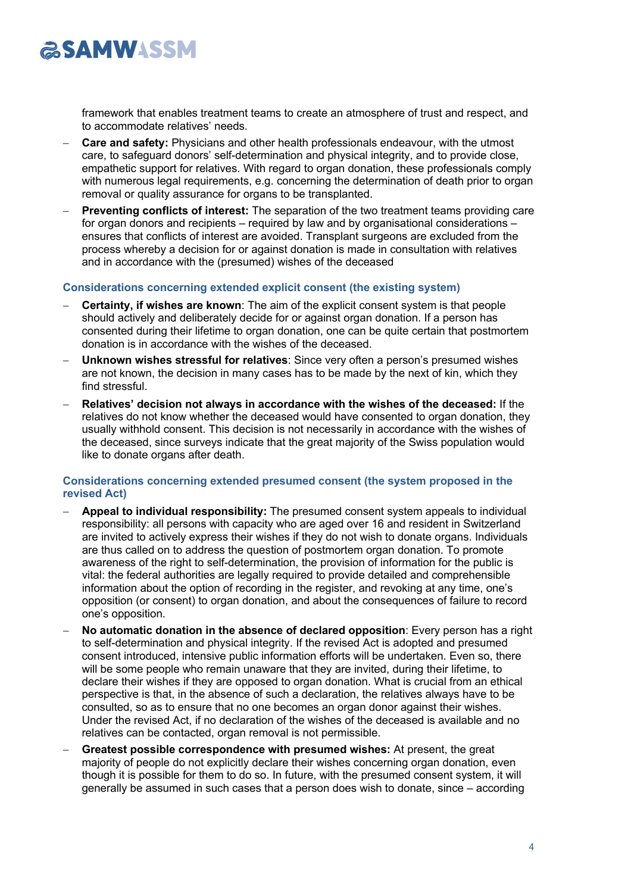

framework that enables treatment teams to create an atmosphere of trust and respect, and to accommodate relatives' needs.

- **Care and safety:** Physicians and other health professionals endeavour, with the utmost care, to safeguard donors' self-determination and physical integrity, and to provide close, empathetic support for relatives. With regard to organ donation, these professionals comply with numerous legal requirements, e.g. concerning the determination of death prior to organ removal or quality assurance for organs to be transplanted.
- **Preventing conflicts of interest:** The separation of the two treatment teams providing care for organ donors and recipients – required by law and by organisational considerations – ensures that conflicts of interest are avoided. Transplant surgeons are excluded from the process whereby a decision for or against donation is made in consultation with relatives and in accordance with the (presumed) wishes of the deceased

#### **Considerations concerning extended explicit consent (the existing system)**

- **Certainty, if wishes are known**: The aim of the explicit consent system is that people should actively and deliberately decide for or against organ donation. If a person has consented during their lifetime to organ donation, one can be quite certain that postmortem donation is in accordance with the wishes of the deceased.
- **Unknown wishes stressful for relatives**: Since very often a person's presumed wishes are not known, the decision in many cases has to be made by the next of kin, which they find stressful.
- **Relatives' decision not always in accordance with the wishes of the deceased:** If the relatives do not know whether the deceased would have consented to organ donation, they usually withhold consent. This decision is not necessarily in accordance with the wishes of the deceased, since surveys indicate that the great majority of the Swiss population would like to donate organs after death.

### **Considerations concerning extended presumed consent (the system proposed in the revised Act)**

- **Appeal to individual responsibility:** The presumed consent system appeals to individual responsibility: all persons with capacity who are aged over 16 and resident in Switzerland are invited to actively express their wishes if they do not wish to donate organs. Individuals are thus called on to address the question of postmortem organ donation. To promote awareness of the right to self-determination, the provision of information for the public is vital: the federal authorities are legally required to provide detailed and comprehensible information about the option of recording in the register, and revoking at any time, one's opposition (or consent) to organ donation, and about the consequences of failure to record one's opposition.
- **No automatic donation in the absence of declared opposition**: Every person has a right to self-determination and physical integrity. If the revised Act is adopted and presumed consent introduced, intensive public information efforts will be undertaken. Even so, there will be some people who remain unaware that they are invited, during their lifetime, to declare their wishes if they are opposed to organ donation. What is crucial from an ethical perspective is that, in the absence of such a declaration, the relatives always have to be consulted, so as to ensure that no one becomes an organ donor against their wishes. Under the revised Act, if no declaration of the wishes of the deceased is available and no relatives can be contacted, organ removal is not permissible.
- **Greatest possible correspondence with presumed wishes:** At present, the great majority of people do not explicitly declare their wishes concerning organ donation, even though it is possible for them to do so. In future, with the presumed consent system, it will generally be assumed in such cases that a person does wish to donate, since – according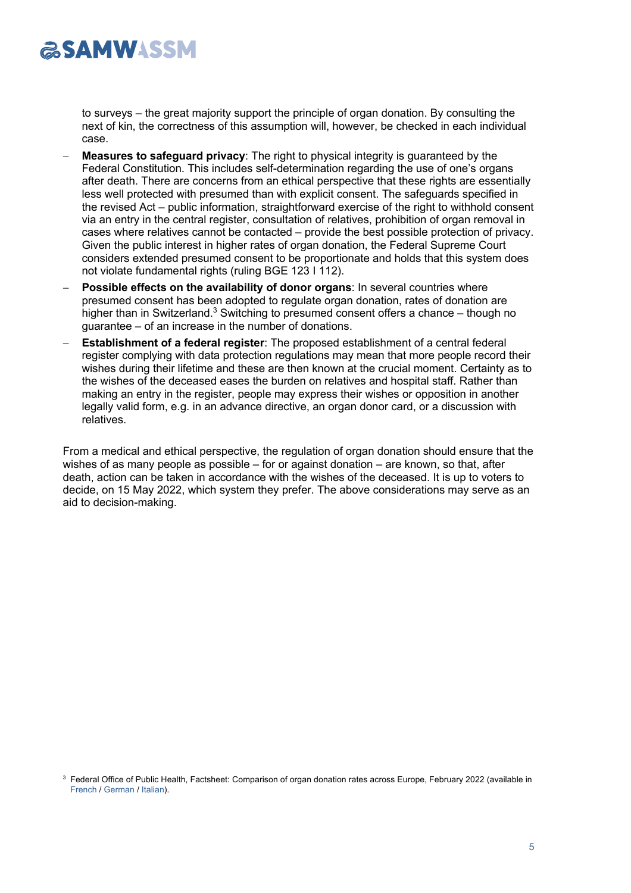to surveys – the great majority support the principle of organ donation. By consulting the next of kin, the correctness of this assumption will, however, be checked in each individual case.

- **Measures to safeguard privacy**: The right to physical integrity is guaranteed by the Federal Constitution. This includes self-determination regarding the use of one's organs after death. There are concerns from an ethical perspective that these rights are essentially less well protected with presumed than with explicit consent. The safeguards specified in the revised Act – public information, straightforward exercise of the right to withhold consent via an entry in the central register, consultation of relatives, prohibition of organ removal in cases where relatives cannot be contacted – provide the best possible protection of privacy. Given the public interest in higher rates of organ donation, the Federal Supreme Court considers extended presumed consent to be proportionate and holds that this system does not violate fundamental rights (ruling BGE 123 I 112).
- **Possible effects on the availability of donor organs: In several countries where** presumed consent has been adopted to regulate organ donation, rates of donation are higher than in Switzerland.<sup>3</sup> Switching to presumed consent offers a chance – though no guarantee – of an increase in the number of donations.
- **Establishment of a federal register**: The proposed establishment of a central federal register complying with data protection regulations may mean that more people record their wishes during their lifetime and these are then known at the crucial moment. Certainty as to the wishes of the deceased eases the burden on relatives and hospital staff. Rather than making an entry in the register, people may express their wishes or opposition in another legally valid form, e.g. in an advance directive, an organ donor card, or a discussion with relatives.

From a medical and ethical perspective, the regulation of organ donation should ensure that the wishes of as many people as possible  $-$  for or against donation  $-$  are known, so that, after death, action can be taken in accordance with the wishes of the deceased. It is up to voters to decide, on 15 May 2022, which system they prefer. The above considerations may serve as an aid to decision-making.

<sup>&</sup>lt;sup>3</sup> Federal Office of Public Health, Factsheet: Comparison of organ donation rates across Europe, February 2022 (available in [French](https://www.bag.admin.ch/dam/bag/fr/dokumente/biomed/transplantationsmedizin/faktenblatt-organspende-internationaler-vergleich.pdf.download.pdf/190909_Faktenblatt_Organspende_Vergleich_International_FR.pdf) / [German](https://www.bag.admin.ch/dam/bag/de/dokumente/biomed/transplantationsmedizin/faktenblatt-organspende-internationaler-vergleich.pdf.download.pdf/190909_Faktenblatt_Organspende_Vergleich_International_D.pdf) / [Italian\)](https://www.bag.admin.ch/dam/bag/it/dokumente/biomed/transplantationsmedizin/faktenblatt-organspende-internationaler-vergleich.pdf.download.pdf/190909_Faktenblatt_Organspende_Vergleich_International_IT.pdf).